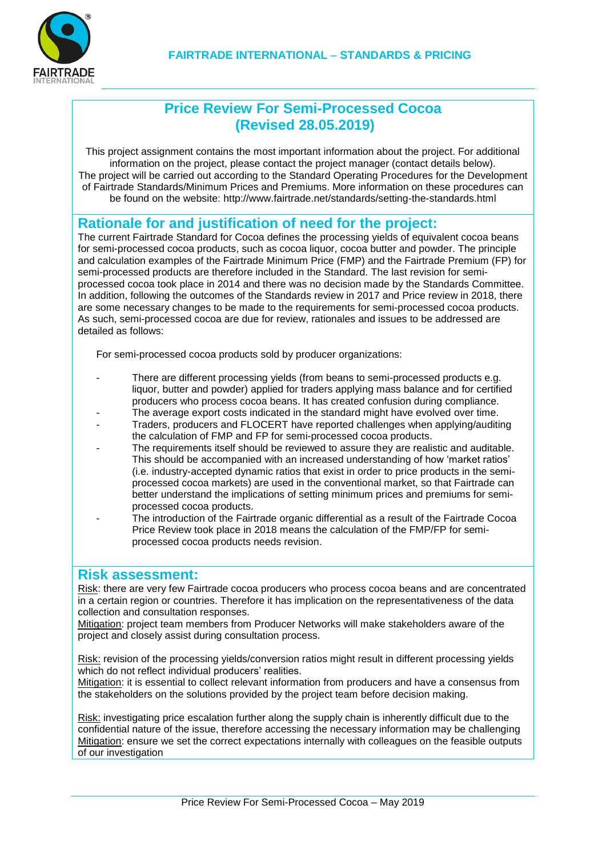

### **Price Review For Semi-Processed Cocoa (Revised 28.05.2019)**

This project assignment contains the most important information about the project. For additional information on the project, please contact the project manager (contact details below). The project will be carried out according to the Standard Operating Procedures for the Development of Fairtrade Standards/Minimum Prices and Premiums. More information on these procedures can be found on the website: http://www.fairtrade.net/standards/setting-the-standards.html

### **Rationale for and justification of need for the project:**

The current Fairtrade Standard for Cocoa defines the processing yields of equivalent cocoa beans for semi-processed cocoa products, such as cocoa liquor, cocoa butter and powder. The principle and calculation examples of the Fairtrade Minimum Price (FMP) and the Fairtrade Premium (FP) for semi-processed products are therefore included in the Standard. The last revision for semiprocessed cocoa took place in 2014 and there was no decision made by the Standards Committee. In addition, following the outcomes of the Standards review in 2017 and Price review in 2018, there are some necessary changes to be made to the requirements for semi-processed cocoa products. As such, semi-processed cocoa are due for review, rationales and issues to be addressed are detailed as follows:

For semi-processed cocoa products sold by producer organizations:

- There are different processing yields (from beans to semi-processed products e.g. liquor, butter and powder) applied for traders applying mass balance and for certified producers who process cocoa beans. It has created confusion during compliance.
- The average export costs indicated in the standard might have evolved over time.
- Traders, producers and FLOCERT have reported challenges when applying/auditing the calculation of FMP and FP for semi-processed cocoa products.
- The requirements itself should be reviewed to assure they are realistic and auditable. This should be accompanied with an increased understanding of how 'market ratios' (i.e. industry-accepted dynamic ratios that exist in order to price products in the semiprocessed cocoa markets) are used in the conventional market, so that Fairtrade can better understand the implications of setting minimum prices and premiums for semiprocessed cocoa products.
- The introduction of the Fairtrade organic differential as a result of the Fairtrade Cocoa Price Review took place in 2018 means the calculation of the FMP/FP for semiprocessed cocoa products needs revision.

#### **Risk assessment:**

Risk: there are very few Fairtrade cocoa producers who process cocoa beans and are concentrated in a certain region or countries. Therefore it has implication on the representativeness of the data collection and consultation responses.

Mitigation: project team members from Producer Networks will make stakeholders aware of the project and closely assist during consultation process.

Risk: revision of the processing yields/conversion ratios might result in different processing yields which do not reflect individual producers' realities.

Mitigation: it is essential to collect relevant information from producers and have a consensus from the stakeholders on the solutions provided by the project team before decision making.

Risk: investigating price escalation further along the supply chain is inherently difficult due to the confidential nature of the issue, therefore accessing the necessary information may be challenging Mitigation: ensure we set the correct expectations internally with colleagues on the feasible outputs of our investigation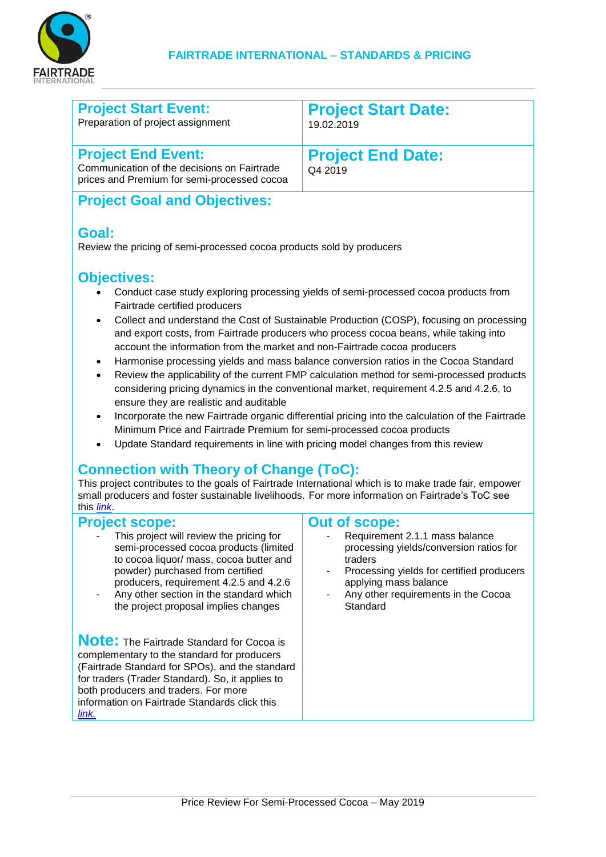

| <b>Project Start Event:</b>       | <b>Project Start Date:</b> |
|-----------------------------------|----------------------------|
| Preparation of project assignment | 19.02.2019                 |
| <b>Project End Event:</b>         | <b>Project End Date:</b>   |

Communication of the decisions on Fairtrade prices and Premium for semi-processed cocoa

**End Date:** Q4 2019

# **Project Goal and Objectives:**

### **Goal:**

Review the pricing of semi-processed cocoa products sold by producers

## **Objectives:**

- Conduct case study exploring processing yields of semi-processed cocoa products from Fairtrade certified producers
- Collect and understand the Cost of Sustainable Production (COSP), focusing on processing and export costs, from Fairtrade producers who process cocoa beans, while taking into account the information from the market and non-Fairtrade cocoa producers
- Harmonise processing yields and mass balance conversion ratios in the Cocoa Standard
- Review the applicability of the current FMP calculation method for semi-processed products considering pricing dynamics in the conventional market, requirement 4.2.5 and 4.2.6, to ensure they are realistic and auditable
- Incorporate the new Fairtrade organic differential pricing into the calculation of the Fairtrade Minimum Price and Fairtrade Premium for semi-processed cocoa products
- Update Standard requirements in line with pricing model changes from this review

# **Connection with Theory of Change (ToC):**

This project contributes to the goals of Fairtrade International which is to make trade fair, empower small producers and foster sustainable livelihoods. For more information on Fairtrade's ToC see this *[link](http://www.fairtrade.net/resources/our-theory-of-change.html)*.

#### **Project scope:**

- This project will review the pricing for semi-processed cocoa products (limited to cocoa liquor/ mass, cocoa butter and powder) purchased from certified producers, requirement 4.2.5 and 4.2.6
- Any other section in the standard which the project proposal implies changes

**Note:** The Fairtrade Standard for Cocoa is complementary to the standard for producers (Fairtrade Standard for SPOs), and the standard for traders (Trader Standard). So, it applies to both producers and traders. For more information on Fairtrade Standards click this *[link.](http://www.fairtrade.net/standards/our-standards.html)*

#### **Out of scope:**

- Requirement 2.1.1 mass balance processing yields/conversion ratios for traders
- Processing yields for certified producers applying mass balance
- Any other requirements in the Cocoa **Standard**